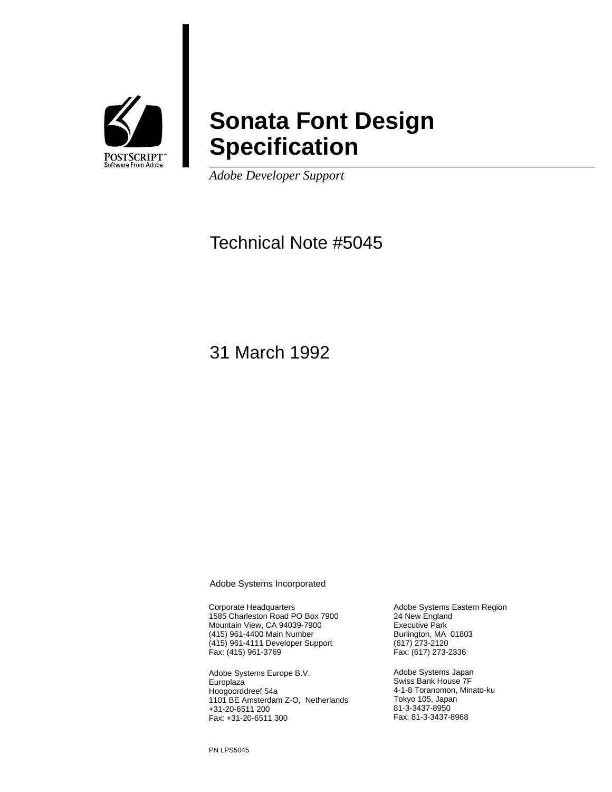

## **Sonata Font Design Specification**

*Adobe Developer Support*

### Technical Note #5045

31 March 1992

Adobe Systems Incorporated

Corporate Headquarters 1585 Charleston Road PO Box 7900 Mountain View, CA 94039-7900 (415) 961-4400 Main Number (415) 961-4111 Developer Support Fax: (415) 961-3769

Adobe Systems Europe B.V. **Europlaza** Hoogoorddreef 54a 1101 BE Amsterdam Z-O, Netherlands +31-20-6511 200 Fax: +31-20-6511 300

Adobe Systems Eastern Region 24 New England Executive Park Burlington, MA 01803 (617) 273-2120 Fax: (617) 273-2336

Adobe Systems Japan Swiss Bank House 7F 4-1-8 Toranomon, Minato-ku Tokyo 105, Japan 81-3-3437-8950 Fax: 81-3-3437-8968

PN LPS5045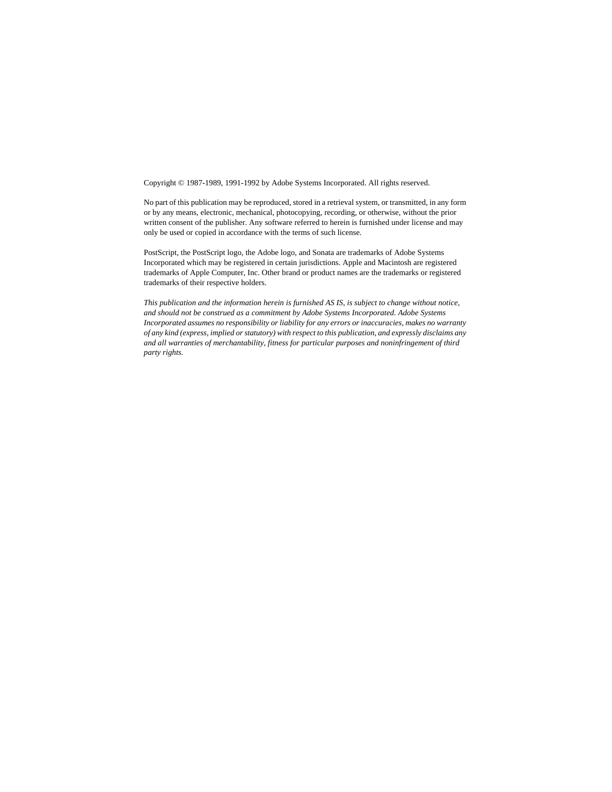Copyright © 1987-1989, 1991-1992 by Adobe Systems Incorporated. All rights reserved.

No part of this publication may be reproduced, stored in a retrieval system, or transmitted, in any form or by any means, electronic, mechanical, photocopying, recording, or otherwise, without the prior written consent of the publisher. Any software referred to herein is furnished under license and may only be used or copied in accordance with the terms of such license.

PostScript, the PostScript logo, the Adobe logo, and Sonata are trademarks of Adobe Systems Incorporated which may be registered in certain jurisdictions. Apple and Macintosh are registered trademarks of Apple Computer, Inc. Other brand or product names are the trademarks or registered trademarks of their respective holders.

*This publication and the information herein is furnished AS IS, is subject to change without notice, and should not be construed as a commitment by Adobe Systems Incorporated. Adobe Systems Incorporated assumes no responsibility or liability for any errors or inaccuracies, makes no warranty of any kind (express, implied or statutory) with respect to this publication, and expressly disclaims any and all warranties of merchantability, fitness for particular purposes and noninfringement of third party rights.*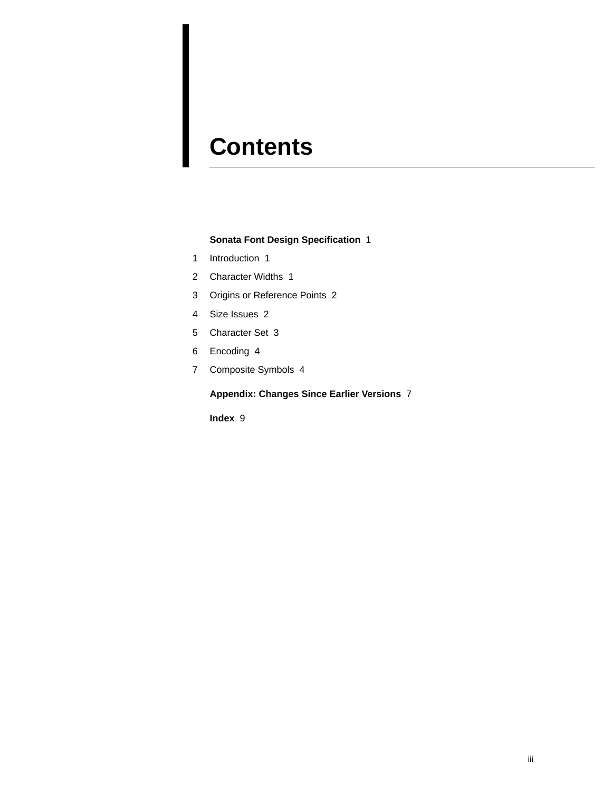# **Contents**

#### **Sonata Font Design Specification** 1

- 1 Introduction 1
- 2 Character Widths 1
- 3 Origins or Reference Points 2
- 4 Size Issues 2
- 5 Character Set 3
- 6 Encoding 4
- 7 Composite Symbols 4

**Appendix: Changes Since Earlier Versions** 7

**Index** 9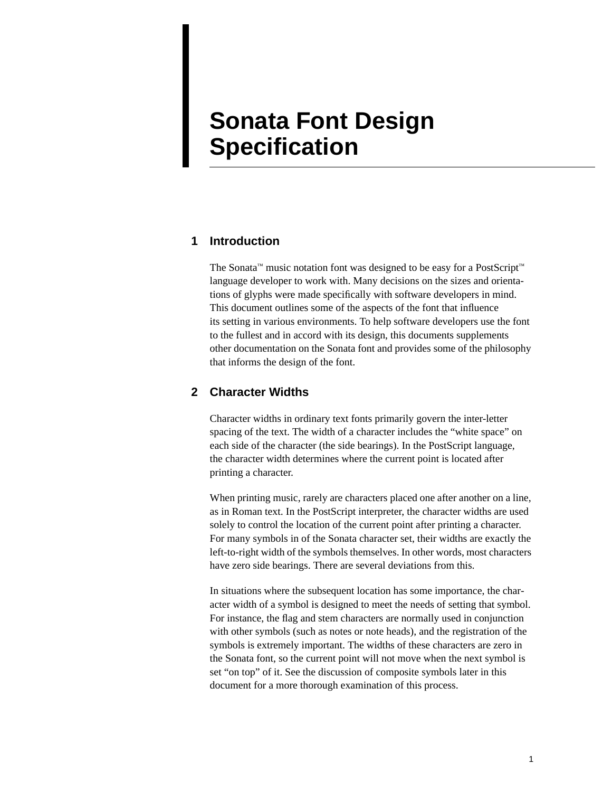### **Sonata Font Design Specification**

#### **1 Introduction**

The Sonata™ music notation font was designed to be easy for a PostScript™ language developer to work with. Many decisions on the sizes and orientations of glyphs were made specifically with software developers in mind. This document outlines some of the aspects of the font that influence its setting in various environments. To help software developers use the font to the fullest and in accord with its design, this documents supplements other documentation on the Sonata font and provides some of the philosophy that informs the design of the font.

#### **2 Character Widths**

Character widths in ordinary text fonts primarily govern the inter-letter spacing of the text. The width of a character includes the "white space" on each side of the character (the side bearings). In the PostScript language, the character width determines where the current point is located after printing a character.

When printing music, rarely are characters placed one after another on a line, as in Roman text. In the PostScript interpreter, the character widths are used solely to control the location of the current point after printing a character. For many symbols in of the Sonata character set, their widths are exactly the left-to-right width of the symbols themselves. In other words, most characters have zero side bearings. There are several deviations from this.

In situations where the subsequent location has some importance, the character width of a symbol is designed to meet the needs of setting that symbol. For instance, the flag and stem characters are normally used in conjunction with other symbols (such as notes or note heads), and the registration of the symbols is extremely important. The widths of these characters are zero in the Sonata font, so the current point will not move when the next symbol is set "on top" of it. See the discussion of composite symbols later in this document for a more thorough examination of this process.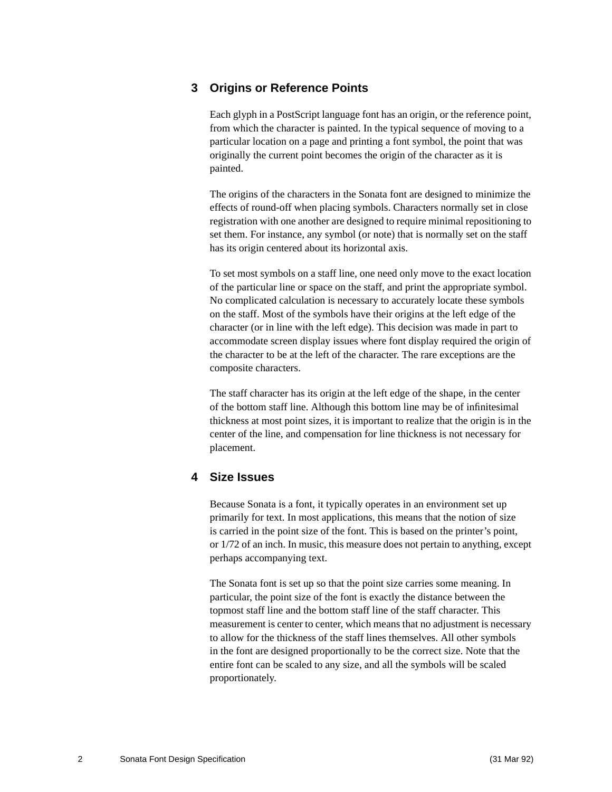#### **3 Origins or Reference Points**

Each glyph in a PostScript language font has an origin, or the reference point, from which the character is painted. In the typical sequence of moving to a particular location on a page and printing a font symbol, the point that was originally the current point becomes the origin of the character as it is painted.

The origins of the characters in the Sonata font are designed to minimize the effects of round-off when placing symbols. Characters normally set in close registration with one another are designed to require minimal repositioning to set them. For instance, any symbol (or note) that is normally set on the staff has its origin centered about its horizontal axis.

To set most symbols on a staff line, one need only move to the exact location of the particular line or space on the staff, and print the appropriate symbol. No complicated calculation is necessary to accurately locate these symbols on the staff. Most of the symbols have their origins at the left edge of the character (or in line with the left edge). This decision was made in part to accommodate screen display issues where font display required the origin of the character to be at the left of the character. The rare exceptions are the composite characters.

The staff character has its origin at the left edge of the shape, in the center of the bottom staff line. Although this bottom line may be of infinitesimal thickness at most point sizes, it is important to realize that the origin is in the center of the line, and compensation for line thickness is not necessary for placement.

#### **4 Size Issues**

Because Sonata is a font, it typically operates in an environment set up primarily for text. In most applications, this means that the notion of size is carried in the point size of the font. This is based on the printer's point, or 1/72 of an inch. In music, this measure does not pertain to anything, except perhaps accompanying text.

The Sonata font is set up so that the point size carries some meaning. In particular, the point size of the font is exactly the distance between the topmost staff line and the bottom staff line of the staff character. This measurement is center to center, which means that no adjustment is necessary to allow for the thickness of the staff lines themselves. All other symbols in the font are designed proportionally to be the correct size. Note that the entire font can be scaled to any size, and all the symbols will be scaled proportionately.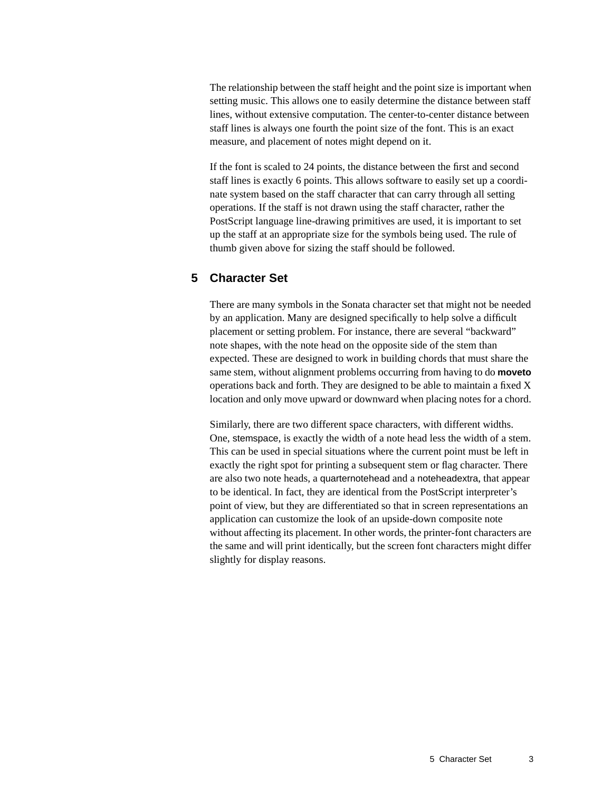The relationship between the staff height and the point size is important when setting music. This allows one to easily determine the distance between staff lines, without extensive computation. The center-to-center distance between staff lines is always one fourth the point size of the font. This is an exact measure, and placement of notes might depend on it.

If the font is scaled to 24 points, the distance between the first and second staff lines is exactly 6 points. This allows software to easily set up a coordinate system based on the staff character that can carry through all setting operations. If the staff is not drawn using the staff character, rather the PostScript language line-drawing primitives are used, it is important to set up the staff at an appropriate size for the symbols being used. The rule of thumb given above for sizing the staff should be followed.

#### **5 Character Set**

There are many symbols in the Sonata character set that might not be needed by an application. Many are designed specifically to help solve a difficult placement or setting problem. For instance, there are several "backward" note shapes, with the note head on the opposite side of the stem than expected. These are designed to work in building chords that must share the same stem, without alignment problems occurring from having to do **moveto** operations back and forth. They are designed to be able to maintain a fixed X location and only move upward or downward when placing notes for a chord.

Similarly, there are two different space characters, with different widths. One, stemspace, is exactly the width of a note head less the width of a stem. This can be used in special situations where the current point must be left in exactly the right spot for printing a subsequent stem or flag character. There are also two note heads, a quarternotehead and a noteheadextra, that appear to be identical. In fact, they are identical from the PostScript interpreter's point of view, but they are differentiated so that in screen representations an application can customize the look of an upside-down composite note without affecting its placement. In other words, the printer-font characters are the same and will print identically, but the screen font characters might differ slightly for display reasons.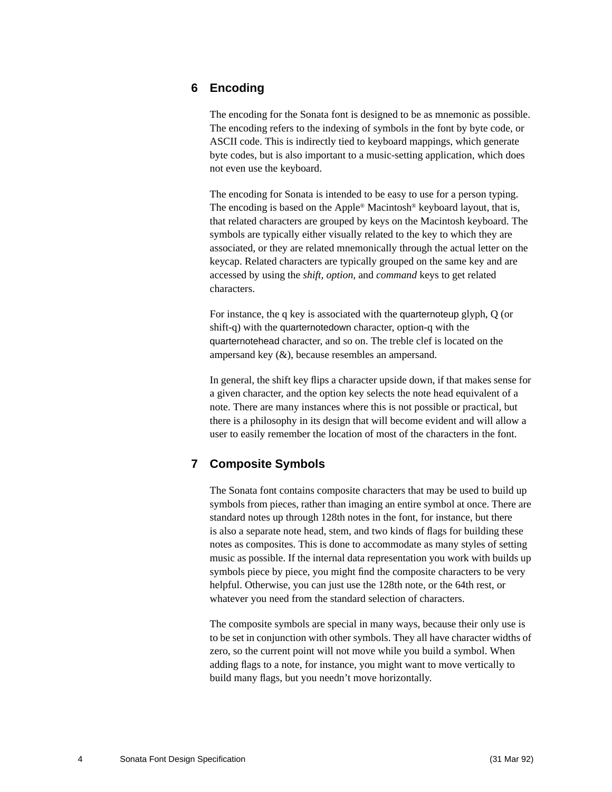#### **6 Encoding**

The encoding for the Sonata font is designed to be as mnemonic as possible. The encoding refers to the indexing of symbols in the font by byte code, or ASCII code. This is indirectly tied to keyboard mappings, which generate byte codes, but is also important to a music-setting application, which does not even use the keyboard.

The encoding for Sonata is intended to be easy to use for a person typing. The encoding is based on the Apple® Macintosh® keyboard layout, that is, that related characters are grouped by keys on the Macintosh keyboard. The symbols are typically either visually related to the key to which they are associated, or they are related mnemonically through the actual letter on the keycap. Related characters are typically grouped on the same key and are accessed by using the *shift, option,* and *command* keys to get related characters.

For instance, the q key is associated with the quarternoteup glyph, Q (or shift-q) with the quarternotedown character, option-q with the quarternotehead character, and so on. The treble clef is located on the ampersand key (&), because resembles an ampersand.

In general, the shift key flips a character upside down, if that makes sense for a given character, and the option key selects the note head equivalent of a note. There are many instances where this is not possible or practical, but there is a philosophy in its design that will become evident and will allow a user to easily remember the location of most of the characters in the font.

#### **7 Composite Symbols**

The Sonata font contains composite characters that may be used to build up symbols from pieces, rather than imaging an entire symbol at once. There are standard notes up through 128th notes in the font, for instance, but there is also a separate note head, stem, and two kinds of flags for building these notes as composites. This is done to accommodate as many styles of setting music as possible. If the internal data representation you work with builds up symbols piece by piece, you might find the composite characters to be very helpful. Otherwise, you can just use the 128th note, or the 64th rest, or whatever you need from the standard selection of characters.

The composite symbols are special in many ways, because their only use is to be set in conjunction with other symbols. They all have character widths of zero, so the current point will not move while you build a symbol. When adding flags to a note, for instance, you might want to move vertically to build many flags, but you needn't move horizontally.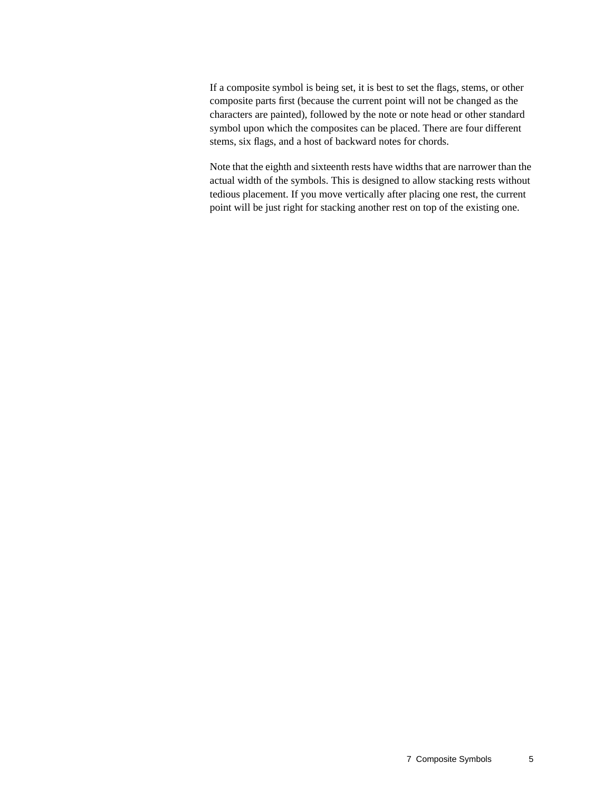If a composite symbol is being set, it is best to set the flags, stems, or other composite parts first (because the current point will not be changed as the characters are painted), followed by the note or note head or other standard symbol upon which the composites can be placed. There are four different stems, six flags, and a host of backward notes for chords.

Note that the eighth and sixteenth rests have widths that are narrower than the actual width of the symbols. This is designed to allow stacking rests without tedious placement. If you move vertically after placing one rest, the current point will be just right for stacking another rest on top of the existing one.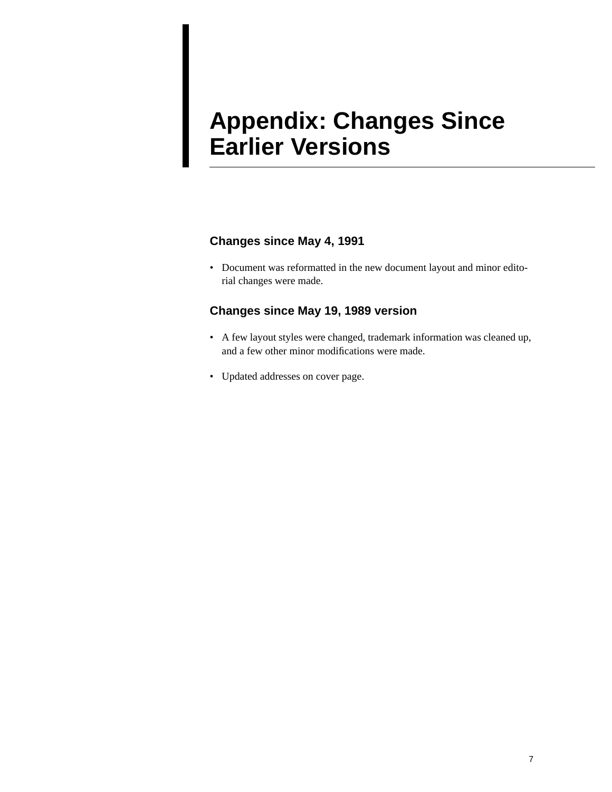## **Appendix: Changes Since Earlier Versions**

#### **Changes since May 4, 1991**

• Document was reformatted in the new document layout and minor editorial changes were made.

#### **Changes since May 19, 1989 version**

- A few layout styles were changed, trademark information was cleaned up, and a few other minor modifications were made.
- Updated addresses on cover page.